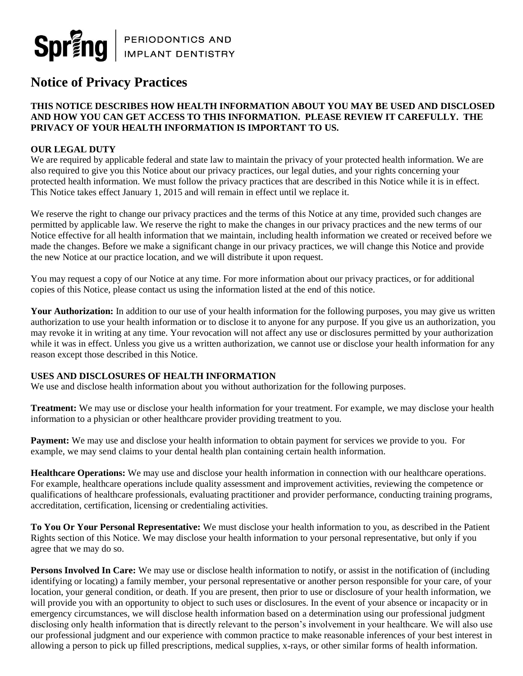

# **Notice of Privacy Practices**

### **THIS NOTICE DESCRIBES HOW HEALTH INFORMATION ABOUT YOU MAY BE USED AND DISCLOSED AND HOW YOU CAN GET ACCESS TO THIS INFORMATION. PLEASE REVIEW IT CAREFULLY. THE PRIVACY OF YOUR HEALTH INFORMATION IS IMPORTANT TO US.**

## **OUR LEGAL DUTY**

We are required by applicable federal and state law to maintain the privacy of your protected health information. We are also required to give you this Notice about our privacy practices, our legal duties, and your rights concerning your protected health information. We must follow the privacy practices that are described in this Notice while it is in effect. This Notice takes effect January 1, 2015 and will remain in effect until we replace it.

We reserve the right to change our privacy practices and the terms of this Notice at any time, provided such changes are permitted by applicable law. We reserve the right to make the changes in our privacy practices and the new terms of our Notice effective for all health information that we maintain, including health information we created or received before we made the changes. Before we make a significant change in our privacy practices, we will change this Notice and provide the new Notice at our practice location, and we will distribute it upon request.

You may request a copy of our Notice at any time. For more information about our privacy practices, or for additional copies of this Notice, please contact us using the information listed at the end of this notice.

Your Authorization: In addition to our use of your health information for the following purposes, you may give us written authorization to use your health information or to disclose it to anyone for any purpose. If you give us an authorization, you may revoke it in writing at any time. Your revocation will not affect any use or disclosures permitted by your authorization while it was in effect. Unless you give us a written authorization, we cannot use or disclose your health information for any reason except those described in this Notice.

#### **USES AND DISCLOSURES OF HEALTH INFORMATION**

We use and disclose health information about you without authorization for the following purposes.

**Treatment:** We may use or disclose your health information for your treatment. For example, we may disclose your health information to a physician or other healthcare provider providing treatment to you.

**Payment:** We may use and disclose your health information to obtain payment for services we provide to you. For example, we may send claims to your dental health plan containing certain health information.

**Healthcare Operations:** We may use and disclose your health information in connection with our healthcare operations. For example, healthcare operations include quality assessment and improvement activities, reviewing the competence or qualifications of healthcare professionals, evaluating practitioner and provider performance, conducting training programs, accreditation, certification, licensing or credentialing activities.

**To You Or Your Personal Representative:** We must disclose your health information to you, as described in the Patient Rights section of this Notice. We may disclose your health information to your personal representative, but only if you agree that we may do so.

**Persons Involved In Care:** We may use or disclose health information to notify, or assist in the notification of (including identifying or locating) a family member, your personal representative or another person responsible for your care, of your location, your general condition, or death. If you are present, then prior to use or disclosure of your health information, we will provide you with an opportunity to object to such uses or disclosures. In the event of your absence or incapacity or in emergency circumstances, we will disclose health information based on a determination using our professional judgment disclosing only health information that is directly relevant to the person's involvement in your healthcare. We will also use our professional judgment and our experience with common practice to make reasonable inferences of your best interest in allowing a person to pick up filled prescriptions, medical supplies, x-rays, or other similar forms of health information.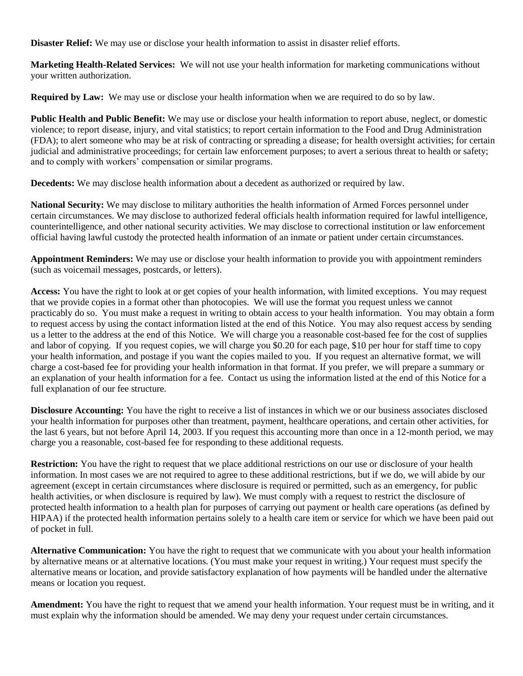**Disaster Relief:** We may use or disclose your health information to assist in disaster relief efforts.

**Marketing Health-Related Services:** We will not use your health information for marketing communications without your written authorization.

**Required by Law:** We may use or disclose your health information when we are required to do so by law.

**Public Health and Public Benefit:** We may use or disclose your health information to report abuse, neglect, or domestic violence; to report disease, injury, and vital statistics; to report certain information to the Food and Drug Administration (FDA); to alert someone who may be at risk of contracting or spreading a disease; for health oversight activities; for certain judicial and administrative proceedings; for certain law enforcement purposes; to avert a serious threat to health or safety; and to comply with workers' compensation or similar programs.

**Decedents:** We may disclose health information about a decedent as authorized or required by law.

**National Security:** We may disclose to military authorities the health information of Armed Forces personnel under certain circumstances. We may disclose to authorized federal officials health information required for lawful intelligence, counterintelligence, and other national security activities. We may disclose to correctional institution or law enforcement official having lawful custody the protected health information of an inmate or patient under certain circumstances.

**Appointment Reminders:** We may use or disclose your health information to provide you with appointment reminders (such as voicemail messages, postcards, or letters).

**Access:** You have the right to look at or get copies of your health information, with limited exceptions. You may request that we provide copies in a format other than photocopies. We will use the format you request unless we cannot practicably do so. You must make a request in writing to obtain access to your health information. You may obtain a form to request access by using the contact information listed at the end of this Notice. You may also request access by sending us a letter to the address at the end of this Notice. We will charge you a reasonable cost-based fee for the cost of supplies and labor of copying. If you request copies, we will charge you \$0.20 for each page, \$10 per hour for staff time to copy your health information, and postage if you want the copies mailed to you. If you request an alternative format, we will charge a cost-based fee for providing your health information in that format. If you prefer, we will prepare a summary or an explanation of your health information for a fee. Contact us using the information listed at the end of this Notice for a full explanation of our fee structure.

**Disclosure Accounting:** You have the right to receive a list of instances in which we or our business associates disclosed your health information for purposes other than treatment, payment, healthcare operations, and certain other activities, for the last 6 years, but not before April 14, 2003. If you request this accounting more than once in a 12-month period, we may charge you a reasonable, cost-based fee for responding to these additional requests.

**Restriction:** You have the right to request that we place additional restrictions on our use or disclosure of your health information. In most cases we are not required to agree to these additional restrictions, but if we do, we will abide by our agreement (except in certain circumstances where disclosure is required or permitted, such as an emergency, for public health activities, or when disclosure is required by law). We must comply with a request to restrict the disclosure of protected health information to a health plan for purposes of carrying out payment or health care operations (as defined by HIPAA) if the protected health information pertains solely to a health care item or service for which we have been paid out of pocket in full.

**Alternative Communication:** You have the right to request that we communicate with you about your health information by alternative means or at alternative locations. (You must make your request in writing.) Your request must specify the alternative means or location, and provide satisfactory explanation of how payments will be handled under the alternative means or location you request.

**Amendment:** You have the right to request that we amend your health information. Your request must be in writing, and it must explain why the information should be amended. We may deny your request under certain circumstances.